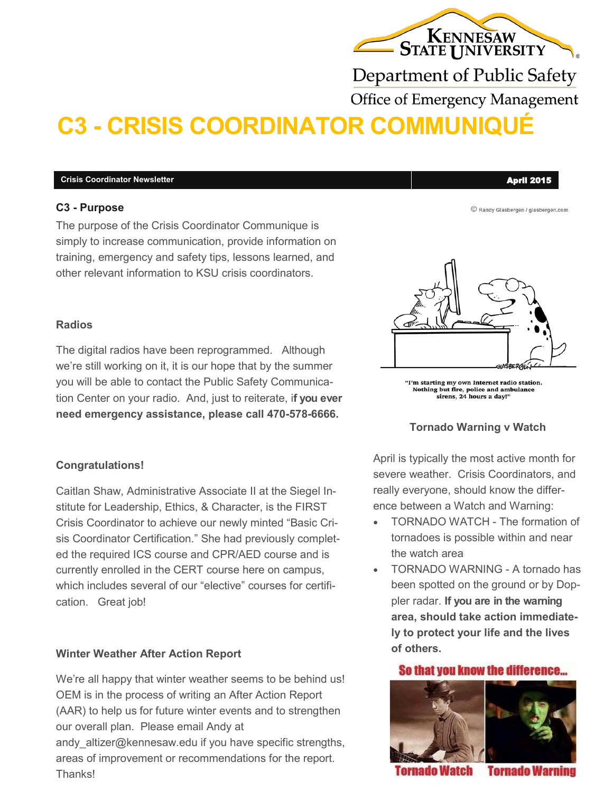# KENNESAW

Department of Public Safety

**Office of Emergency Management** 

## **C3 - CRISIS COORDINATOR COMMUNIQUÉ**

#### **Crisis Coordinator Newsletter** April 2015

#### **C3 - Purpose**

The purpose of the Crisis Coordinator Communique is simply to increase communication, provide information on training, emergency and safety tips, lessons learned, and other relevant information to KSU crisis coordinators.

#### **Radios**

The digital radios have been reprogrammed. Although we're still working on it, it is our hope that by the summer you will be able to contact the Public Safety Communication Center on your radio. And, just to reiterate, i**f you ever need emergency assistance, please call 470-578-6666.**

#### **Congratulations!**

Caitlan Shaw, Administrative Associate II at the Siegel Institute for Leadership, Ethics, & Character, is the FIRST Crisis Coordinator to achieve our newly minted "Basic Crisis Coordinator Certification." She had previously completed the required ICS course and CPR/AED course and is currently enrolled in the CERT course here on campus, which includes several of our "elective" courses for certification. Great job!

#### **Winter Weather After Action Report**

We're all happy that winter weather seems to be behind us! OEM is in the process of writing an After Action Report (AAR) to help us for future winter events and to strengthen our overall plan. Please email Andy at andy\_altizer@kennesaw.edu if you have specific strengths, areas of improvement or recommendations for the report. **Thanks!** 

© Randy Glasbergen / glasbergen.com



"I'm starting my own Internet radio station. Nothing but fire, police and ambulance<br>sirens, 24 hours a day!"

#### **Tornado Warning v Watch**

April is typically the most active month for severe weather. Crisis Coordinators, and really everyone, should know the difference between a Watch and Warning:

- TORNADO WATCH The formation of tornadoes is possible within and near the watch area
- TORNADO WARNING A tornado has been spotted on the ground or by Doppler radar. **If you are in the warning area, should take action immediately to protect your life and the lives of others.**

#### So that you know the difference...



fornado Watch